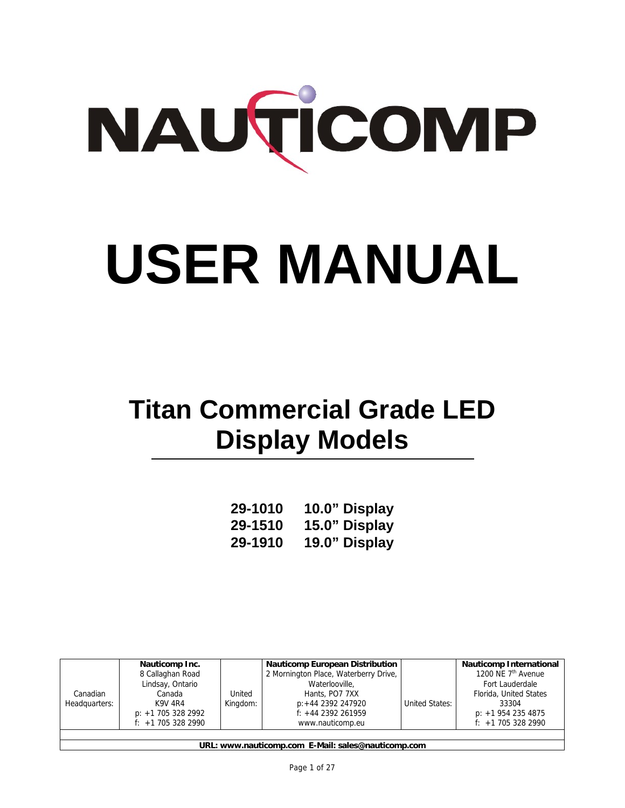

# **USER MANUAL**

# **Titan Commercial Grade LED Display Models**

| 29-1010 | 10.0" Display |
|---------|---------------|
| 29-1510 | 15.0" Display |
| 29-1910 | 19.0" Display |

|               | Nauticomp Inc.       |          | <b>Nauticomp European Distribution</b> |                | <b>Nauticomp International</b> |
|---------------|----------------------|----------|----------------------------------------|----------------|--------------------------------|
|               | 8 Callaghan Road     |          | 2 Mornington Place, Waterberry Drive,  |                | 1200 NE 7 <sup>th</sup> Avenue |
|               | Lindsay, Ontario     |          | Waterlooville,                         |                | Fort Lauderdale                |
| Canadian      | Canada               | United   | Hants, PO7 7XX                         |                | Florida, United States         |
| Headquarters: | K9V 4R4              | Kingdom: | p:+44 2392 247920                      | United States: | 33304                          |
|               | $p: +1$ 705 328 2992 |          | $f$ : +44 2392 261959                  |                | $p: +19542354875$              |
|               | $f: +1$ 705 328 2990 |          | www.nauticomp.eu                       |                | $f: +1$ 705 328 2990           |
|               |                      |          |                                        |                |                                |

**URL: www.nauticomp.com E-Mail: sales@nauticomp.com**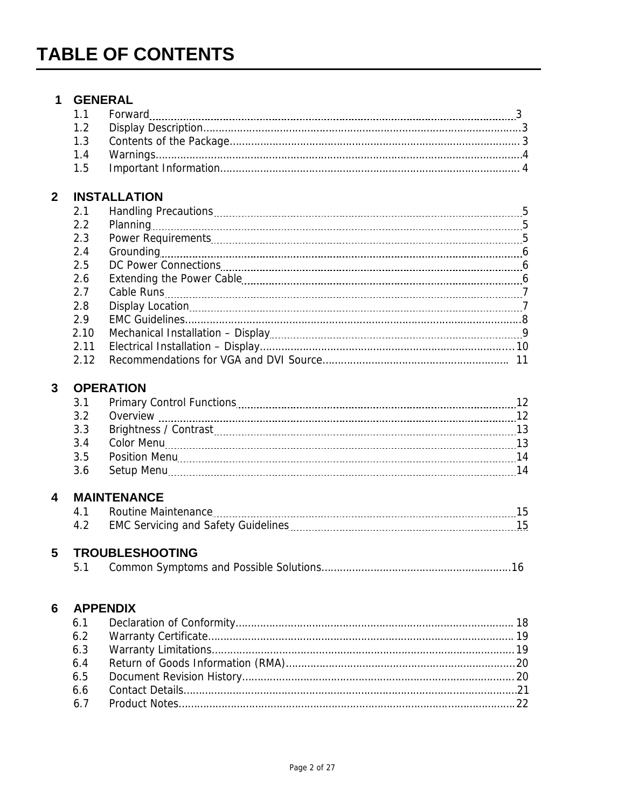### **1 GENERAL**  1.1 Forward 3 **Section** 5 **Forward** 3 **Contract 2 Contract 2 Contract 2 Contract 2 Contract 2 Contract 2 Contract 2 Contract 2 Contract 2 Contract 2 Contract 2 Contract 2 Contract 2 Contract 2 C** 1.2 Display Description…………………………………………………………………………………………..3 1.3 Contents of the Package………………………………………………………………………………….. 3 1.4 Warnings…………………………………………………………………………………………………………4 1.5 Important Information…………………………………………………………………………………….. 4 **2 INSTALLATION**  2.1 Handling Precautions 5 2.2 Planning 2.2 Planning 2.2 Planning 2.2 Planning 2.2 Planning 2.2 Planning 2.5 September 2.5 September 2.5 2.3 Power Requirements 5 2.4 Grounding 6 2.5 DC Power Connections 6 2.6 Extending the Power Cable 6 2.7 Cable Runs 7 2.8 Display Location 7 2.9 EMC Guidelines………………………………………………………………………………………………..8 2.10 Mechanical Installation – Display **19.10 Mechanical** Installation – Display **9.10 Mechanical** 9 2.11 Electrical Installation – Display……………………………………………………………………..... 10 2.12 Recommendations for VGA and DVI Source……………………………………………………. 11 **3 OPERATION 2.1 Primary Control Functions 2.1 Primary Control Functions 2.2 August 2.2 Primary Control Functions 2.2 August 2.2 August 2.2 August 2.2 August 2.2 August 2.2 August 2.2 August 2.2 August 2.2 August 2.2 August 2.2 August** 3.2 Overview 12 3.3 Brightness / Contrast 13 3.4 Color Menu 13 3.5 Position Menu 14 3.6 Setup Menu 14 **4 MAINTENANCE**  4.1 Routine Maintenance 15 4.2 EMC Servicing and Safety Guidelines 15 **5 TROUBLESHOOTING** 5.1 Common Symptoms and Possible Solutions……………………………………………………..16 **6 APPENDIX**  6.1 Declaration of Conformity………………………………………………………………………………. 18

| 6.5 |  |
|-----|--|
|     |  |
|     |  |
|     |  |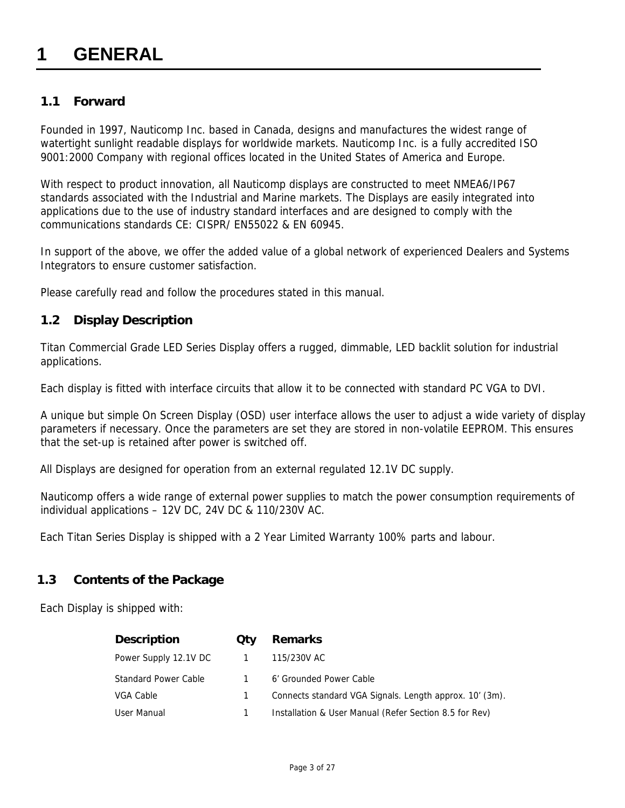### **1 GENERAL**

### **1.1 Forward**

Founded in 1997, Nauticomp Inc. based in Canada, designs and manufactures the widest range of watertight sunlight readable displays for worldwide markets. Nauticomp Inc. is a fully accredited ISO 9001:2000 Company with regional offices located in the United States of America and Europe.

With respect to product innovation, all Nauticomp displays are constructed to meet NMEA6/IP67 standards associated with the Industrial and Marine markets. The Displays are easily integrated into applications due to the use of industry standard interfaces and are designed to comply with the communications standards CE: CISPR/ EN55022 & EN 60945.

In support of the above, we offer the added value of a global network of experienced Dealers and Systems Integrators to ensure customer satisfaction.

Please carefully read and follow the procedures stated in this manual.

### **1.2 Display Description**

Titan Commercial Grade LED Series Display offers a rugged, dimmable, LED backlit solution for industrial applications.

Each display is fitted with interface circuits that allow it to be connected with standard PC VGA to DVI.

A unique but simple On Screen Display (OSD) user interface allows the user to adjust a wide variety of display parameters if necessary. Once the parameters are set they are stored in non-volatile EEPROM. This ensures that the set-up is retained after power is switched off.

All Displays are designed for operation from an external regulated 12.1V DC supply.

Nauticomp offers a wide range of external power supplies to match the power consumption requirements of individual applications – 12V DC, 24V DC & 110/230V AC.

Each Titan Series Display is shipped with a 2 Year Limited Warranty 100% parts and labour.

### **1.3 Contents of the Package**

Each Display is shipped with:

| <b>Description</b>          | <b>Qty</b> | <b>Remarks</b>                                          |
|-----------------------------|------------|---------------------------------------------------------|
| Power Supply 12.1V DC       |            | 115/230V AC                                             |
| <b>Standard Power Cable</b> |            | 6' Grounded Power Cable                                 |
| VGA Cable                   |            | Connects standard VGA Signals. Length approx. 10' (3m). |
| User Manual                 |            | Installation & User Manual (Refer Section 8.5 for Rev)  |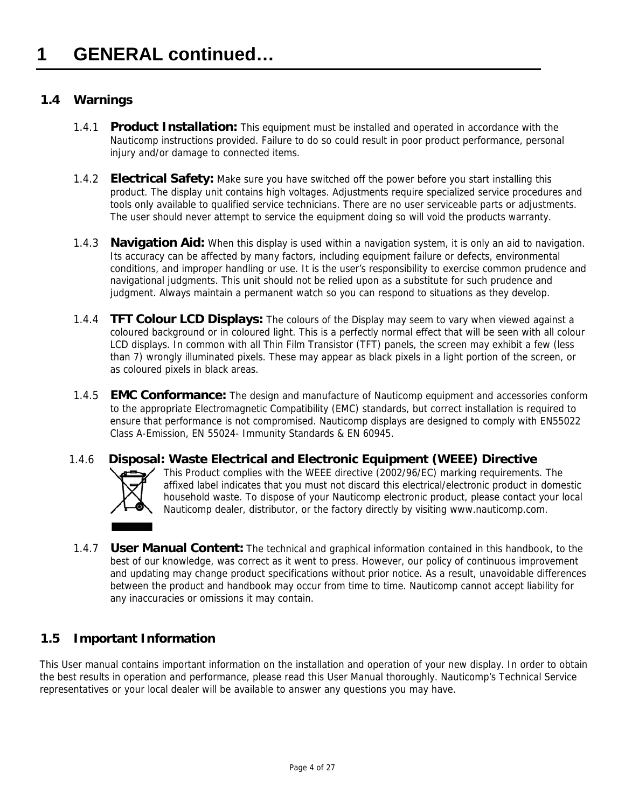### **1.4 Warnings**

- 1.4.1 **Product Installation:** This equipment must be installed and operated in accordance with the Nauticomp instructions provided. Failure to do so could result in poor product performance, personal injury and/or damage to connected items.
- 1.4.2 **Electrical Safety:** Make sure you have switched off the power before you start installing this product. The display unit contains high voltages. Adjustments require specialized service procedures and tools only available to qualified service technicians. There are no user serviceable parts or adjustments. The user should never attempt to service the equipment doing so will void the products warranty.
- 1.4.3 **Navigation Aid:** When this display is used within a navigation system, it is only an aid to navigation. Its accuracy can be affected by many factors, including equipment failure or defects, environmental conditions, and improper handling or use. It is the user's responsibility to exercise common prudence and navigational judgments. This unit should not be relied upon as a substitute for such prudence and judgment. Always maintain a permanent watch so you can respond to situations as they develop.
- 1.4.4 **TFT Colour LCD Displays:** The colours of the Display may seem to vary when viewed against a coloured background or in coloured light. This is a perfectly normal effect that will be seen with all colour LCD displays. In common with all Thin Film Transistor (TFT) panels, the screen may exhibit a few (less than 7) wrongly illuminated pixels. These may appear as black pixels in a light portion of the screen, or as coloured pixels in black areas.
- 1.4.5 **EMC Conformance:** The design and manufacture of Nauticomp equipment and accessories conform to the appropriate Electromagnetic Compatibility (EMC) standards, but correct installation is required to ensure that performance is not compromised. Nauticomp displays are designed to comply with EN55022 Class A-Emission, EN 55024- Immunity Standards & EN 60945.
- 1.4.6 **Disposal: Waste Electrical and Electronic Equipment (WEEE) Directive** This Product complies with the WEEE directive (2002/96/EC) marking requirements. The affixed label indicates that you must not discard this electrical/electronic product in domestic household waste. To dispose of your Nauticomp electronic product, please contact your local Nauticomp dealer, distributor, or the factory directly by visiting www.nauticomp.com.
- 1.4.7 **User Manual Content:** The technical and graphical information contained in this handbook, to the best of our knowledge, was correct as it went to press. However, our policy of continuous improvement and updating may change product specifications without prior notice. As a result, unavoidable differences between the product and handbook may occur from time to time. Nauticomp cannot accept liability for any inaccuracies or omissions it may contain.

### **1.5 Important Information**

This User manual contains important information on the installation and operation of your new display. In order to obtain the best results in operation and performance, please read this User Manual thoroughly. Nauticomp's Technical Service representatives or your local dealer will be available to answer any questions you may have.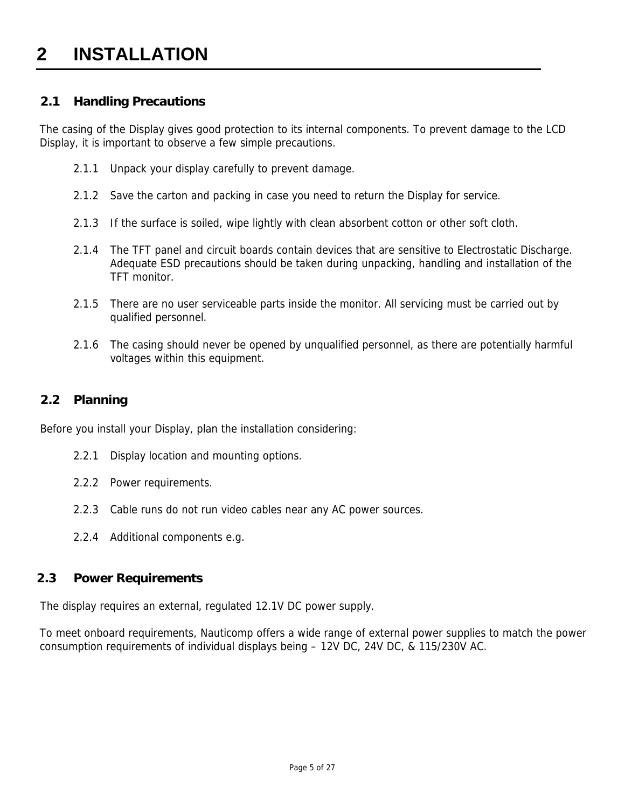### **2 INSTALLATION**

### **2.1 Handling Precautions**

The casing of the Display gives good protection to its internal components. To prevent damage to the LCD Display, it is important to observe a few simple precautions.

- 2.1.1 Unpack your display carefully to prevent damage.
- 2.1.2 Save the carton and packing in case you need to return the Display for service.
- 2.1.3 If the surface is soiled, wipe lightly with clean absorbent cotton or other soft cloth.
- 2.1.4 The TFT panel and circuit boards contain devices that are sensitive to Electrostatic Discharge. Adequate ESD precautions should be taken during unpacking, handling and installation of the TFT monitor.
- 2.1.5 There are no user serviceable parts inside the monitor. All servicing must be carried out by qualified personnel.
- 2.1.6 The casing should never be opened by unqualified personnel, as there are potentially harmful voltages within this equipment.

### **2.2 Planning**

Before you install your Display, plan the installation considering:

- 2.2.1 Display location and mounting options.
- 2.2.2 Power requirements.
- 2.2.3 Cable runs do not run video cables near any AC power sources.
- 2.2.4 Additional components e.g.

#### **2.3 Power Requirements**

The display requires an external, regulated 12.1V DC power supply.

To meet onboard requirements, Nauticomp offers a wide range of external power supplies to match the power consumption requirements of individual displays being – 12V DC, 24V DC, & 115/230V AC.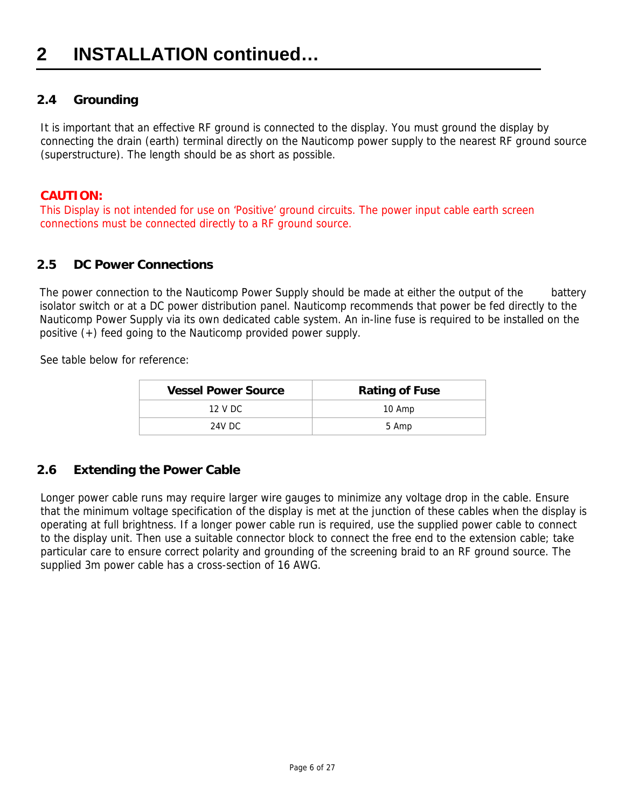### **2.4 Grounding**

It is important that an effective RF ground is connected to the display. You must ground the display by connecting the drain (earth) terminal directly on the Nauticomp power supply to the nearest RF ground source (superstructure). The length should be as short as possible.

### **CAUTION:**

 This Display is not intended for use on 'Positive' ground circuits. The power input cable earth screen connections must be connected directly to a RF ground source.

### **2.5 DC Power Connections**

The power connection to the Nauticomp Power Supply should be made at either the output of the battery isolator switch or at a DC power distribution panel. Nauticomp recommends that power be fed directly to the Nauticomp Power Supply via its own dedicated cable system. An in-line fuse is required to be installed on the positive (+) feed going to the Nauticomp provided power supply.

See table below for reference:

| <b>Vessel Power Source</b> | <b>Rating of Fuse</b> |
|----------------------------|-----------------------|
| 12 V DC                    | 10 Amp                |
| 24V DC.                    | 5 Amp                 |

### **2.6 Extending the Power Cable**

Longer power cable runs may require larger wire gauges to minimize any voltage drop in the cable. Ensure that the minimum voltage specification of the display is met at the junction of these cables when the display is operating at full brightness. If a longer power cable run is required, use the supplied power cable to connect to the display unit. Then use a suitable connector block to connect the free end to the extension cable; take particular care to ensure correct polarity and grounding of the screening braid to an RF ground source. The supplied 3m power cable has a cross-section of 16 AWG.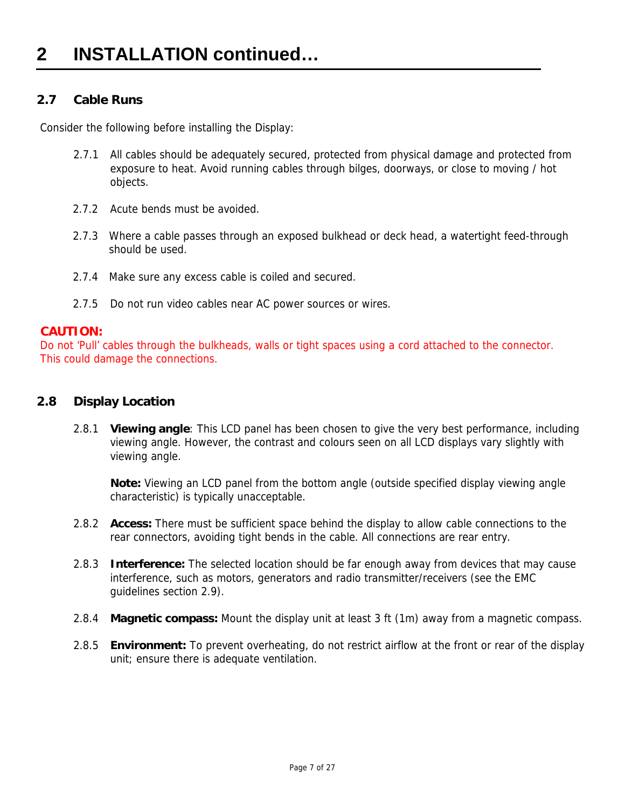### **2.7 Cable Runs**

Consider the following before installing the Display:

- 2.7.1 All cables should be adequately secured, protected from physical damage and protected from exposure to heat. Avoid running cables through bilges, doorways, or close to moving / hot objects.
- 2.7.2 Acute bends must be avoided.
- 2.7.3 Where a cable passes through an exposed bulkhead or deck head, a watertight feed-through should be used.
- 2.7.4 Make sure any excess cable is coiled and secured.
- 2.7.5 Do not run video cables near AC power sources or wires.

### **CAUTION:**

 Do not 'Pull' cables through the bulkheads, walls or tight spaces using a cord attached to the connector. This could damage the connections.

### **2.8 Display Location**

2.8.1 **Viewing angle**: This LCD panel has been chosen to give the very best performance, including viewing angle. However, the contrast and colours seen on all LCD displays vary slightly with viewing angle.

**Note:** Viewing an LCD panel from the bottom angle (outside specified display viewing angle characteristic) is typically unacceptable.

- 2.8.2 **Access:** There must be sufficient space behind the display to allow cable connections to the rear connectors, avoiding tight bends in the cable. All connections are rear entry.
- 2.8.3 **Interference:** The selected location should be far enough away from devices that may cause interference, such as motors, generators and radio transmitter/receivers (see the EMC guidelines section 2.9).
- 2.8.4 **Magnetic compass:** Mount the display unit at least 3 ft (1m) away from a magnetic compass.
- 2.8.5 **Environment:** To prevent overheating, do not restrict airflow at the front or rear of the display unit; ensure there is adequate ventilation.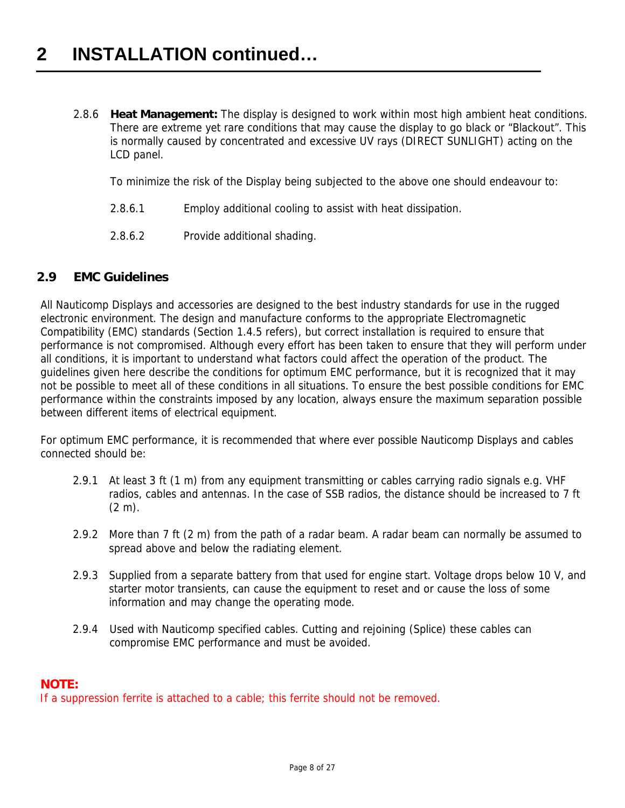2.8.6 **Heat Management:** The display is designed to work within most high ambient heat conditions. There are extreme yet rare conditions that may cause the display to go black or "Blackout". This is normally caused by concentrated and excessive UV rays (DIRECT SUNLIGHT) acting on the LCD panel.

To minimize the risk of the Display being subjected to the above one should endeavour to:

- 2.8.6.1 Employ additional cooling to assist with heat dissipation.
- 2.8.6.2 Provide additional shading.

### **2.9 EMC Guidelines**

All Nauticomp Displays and accessories are designed to the best industry standards for use in the rugged electronic environment. The design and manufacture conforms to the appropriate Electromagnetic Compatibility (EMC) standards (Section 1.4.5 refers), but correct installation is required to ensure that performance is not compromised. Although every effort has been taken to ensure that they will perform under all conditions, it is important to understand what factors could affect the operation of the product. The guidelines given here describe the conditions for optimum EMC performance, but it is recognized that it may not be possible to meet all of these conditions in all situations. To ensure the best possible conditions for EMC performance within the constraints imposed by any location, always ensure the maximum separation possible between different items of electrical equipment.

For optimum EMC performance, it is recommended that where ever possible Nauticomp Displays and cables connected should be:

- 2.9.1 At least 3 ft (1 m) from any equipment transmitting or cables carrying radio signals e.g. VHF radios, cables and antennas. In the case of SSB radios, the distance should be increased to 7 ft  $(2 m)$ .
- 2.9.2 More than 7 ft (2 m) from the path of a radar beam. A radar beam can normally be assumed to spread above and below the radiating element.
- 2.9.3 Supplied from a separate battery from that used for engine start. Voltage drops below 10 V, and starter motor transients, can cause the equipment to reset and or cause the loss of some information and may change the operating mode.
- 2.9.4 Used with Nauticomp specified cables. Cutting and rejoining (Splice) these cables can compromise EMC performance and must be avoided.

### **NOTE:**

If a suppression ferrite is attached to a cable; this ferrite should not be removed.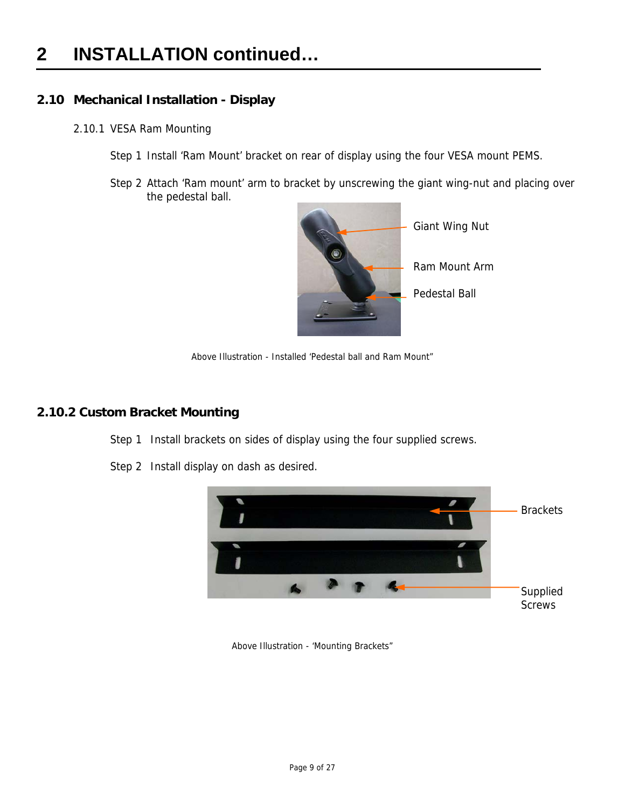### **2 INSTALLATION continued…**

### **2.10 Mechanical Installation - Display**

- 2.10.1 VESA Ram Mounting
	- Step 1 Install 'Ram Mount' bracket on rear of display using the four VESA mount PEMS.
	- Step 2 Attach 'Ram mount' arm to bracket by unscrewing the giant wing-nut and placing over the pedestal ball.



Above Illustration - Installed 'Pedestal ball and Ram Mount"

### **2.10.2 Custom Bracket Mounting**

- Step 1 Install brackets on sides of display using the four supplied screws.
	- **Brackets** Supplied Screws
- Step 2 Install display on dash as desired.

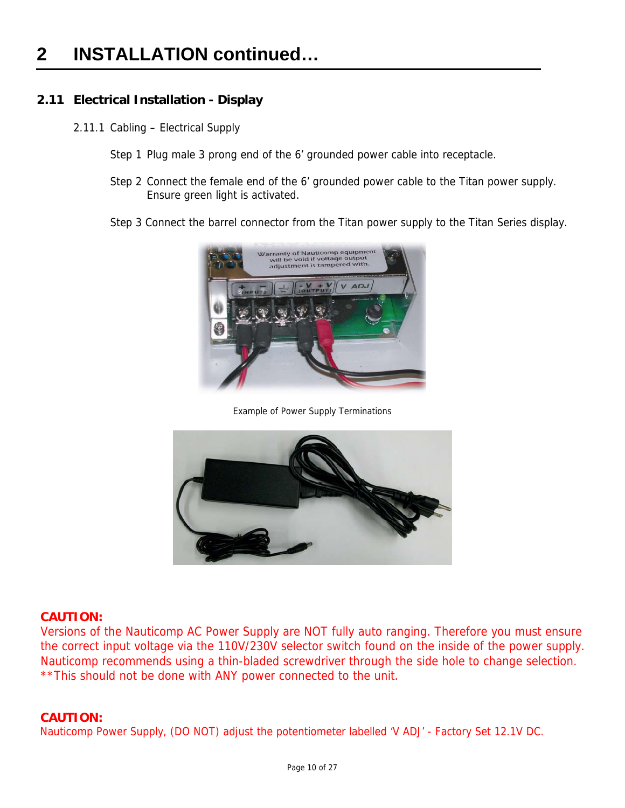### **2.11 Electrical Installation - Display**

- 2.11.1 Cabling Electrical Supply
	- Step 1 Plug male 3 prong end of the 6' grounded power cable into receptacle.
	- Step 2 Connect the female end of the 6' grounded power cable to the Titan power supply. Ensure green light is activated.
	- Step 3 Connect the barrel connector from the Titan power supply to the Titan Series display.



Example of Power Supply Terminations



#### **CAUTION:**

 Versions of the Nauticomp AC Power Supply are NOT fully auto ranging. Therefore you must ensure the correct input voltage via the 110V/230V selector switch found on the inside of the power supply. Nauticomp recommends using a thin-bladed screwdriver through the side hole to change selection. \*\*This should not be done with ANY power connected to the unit.

### **CAUTION:**

Nauticomp Power Supply, (DO NOT) adjust the potentiometer labelled 'V ADJ' - Factory Set 12.1V DC.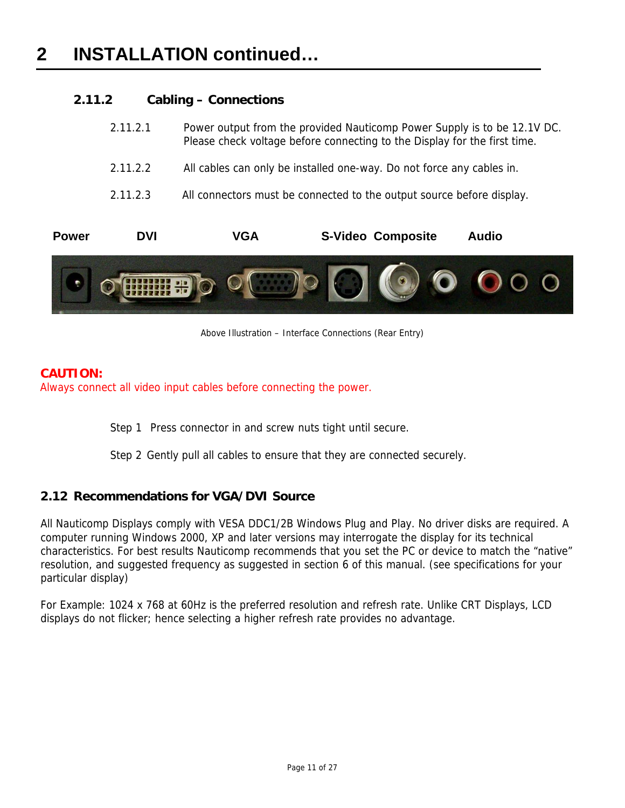### **2.11.2 Cabling – Connections**

| <b>Power</b> | <b>DVI</b> | <b>S-Video Composite</b><br>VGA<br>Audio                                                                                                              |
|--------------|------------|-------------------------------------------------------------------------------------------------------------------------------------------------------|
|              | 2.11.2.3   | All connectors must be connected to the output source before display.                                                                                 |
|              | 2.11.2.2   | All cables can only be installed one-way. Do not force any cables in.                                                                                 |
|              | 2.11.2.1   | Power output from the provided Nauticomp Power Supply is to be 12.1V DC.<br>Please check voltage before connecting to the Display for the first time. |



Above Illustration – Interface Connections (Rear Entry)

### **CAUTION:**

Always connect all video input cables before connecting the power.

Step 1 Press connector in and screw nuts tight until secure.

Step 2 Gently pull all cables to ensure that they are connected securely.

### **2.12 Recommendations for VGA/DVI Source**

All Nauticomp Displays comply with VESA DDC1/2B Windows Plug and Play. No driver disks are required. A computer running Windows 2000, XP and later versions may interrogate the display for its technical characteristics. For best results Nauticomp recommends that you set the PC or device to match the "native" resolution, and suggested frequency as suggested in section 6 of this manual. (see specifications for your particular display)

For Example: 1024 x 768 at 60Hz is the preferred resolution and refresh rate. Unlike CRT Displays, LCD displays do not flicker; hence selecting a higher refresh rate provides no advantage.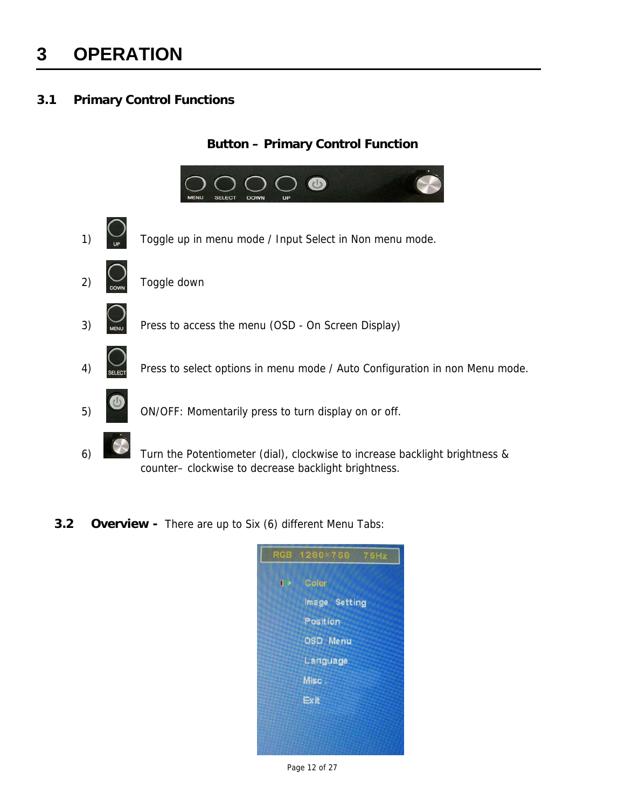### **3 OPERATION**

### **3.1 Primary Control Functions**

### **Button – Primary Control Function**



**3.2 Overview -** There are up to Six (6) different Menu Tabs:



Page 12 of 27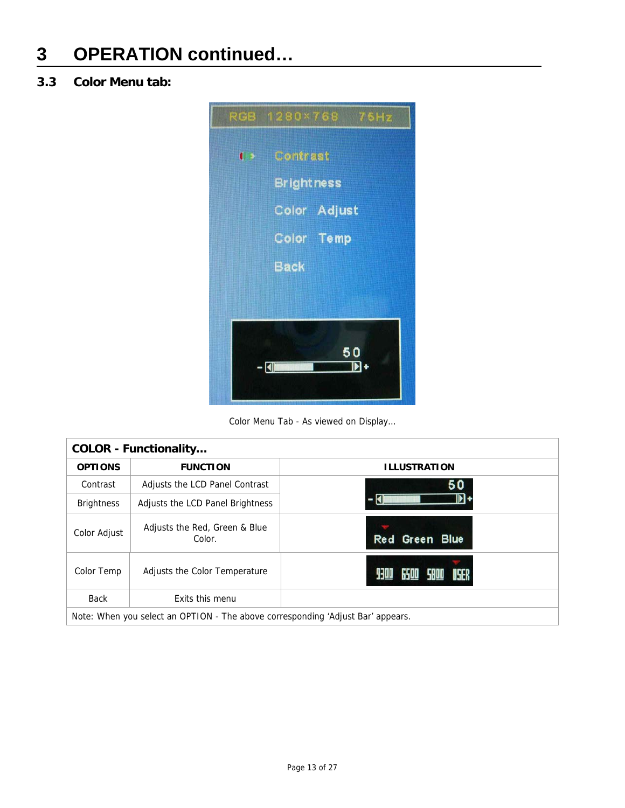### **3.3 Color Menu tab:**



Color Menu Tab - As viewed on Display…

| <b>COLOR - Functionality</b> |                                                                                 |                        |  |
|------------------------------|---------------------------------------------------------------------------------|------------------------|--|
| <b>OPTIONS</b>               | <b>FUNCTION</b>                                                                 | <b>ILLUSTRATION</b>    |  |
| Contrast                     | Adjusts the LCD Panel Contrast                                                  | 50                     |  |
| <b>Brightness</b>            | Adjusts the LCD Panel Brightness                                                |                        |  |
| Color Adjust                 | Adjusts the Red, Green & Blue<br>Color.                                         | Red Green Blue         |  |
| Color Temp                   | Adjusts the Color Temperature                                                   | 6500 S800 USER<br>9300 |  |
| <b>Back</b>                  | Exits this menu                                                                 |                        |  |
|                              | Note: When you select an OPTION - The above corresponding 'Adjust Bar' appears. |                        |  |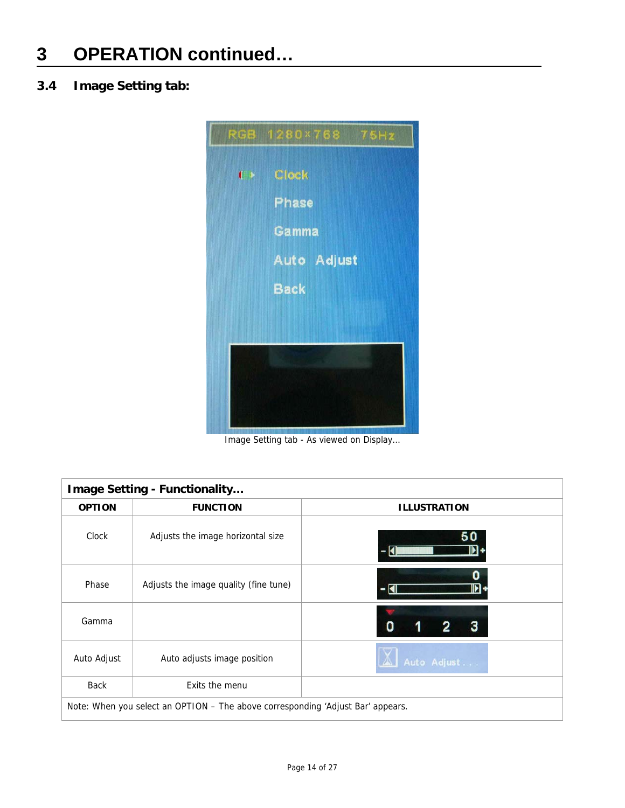### **3.4 Image Setting tab:**



Image Setting tab - As viewed on Display…

| Image Setting - Functionality |                                                                                 |                      |  |  |
|-------------------------------|---------------------------------------------------------------------------------|----------------------|--|--|
| <b>OPTION</b>                 | <b>FUNCTION</b>                                                                 | <b>ILLUSTRATION</b>  |  |  |
| Clock                         | Adjusts the image horizontal size                                               |                      |  |  |
| Phase                         | Adjusts the image quality (fine tune)                                           | ÞІ                   |  |  |
| Gamma                         |                                                                                 | O                    |  |  |
| Auto Adjust                   | Auto adjusts image position                                                     | $\Delta$ Auto Adjust |  |  |
| <b>Back</b>                   | Exits the menu                                                                  |                      |  |  |
|                               | Note: When you select an OPTION - The above corresponding 'Adjust Bar' appears. |                      |  |  |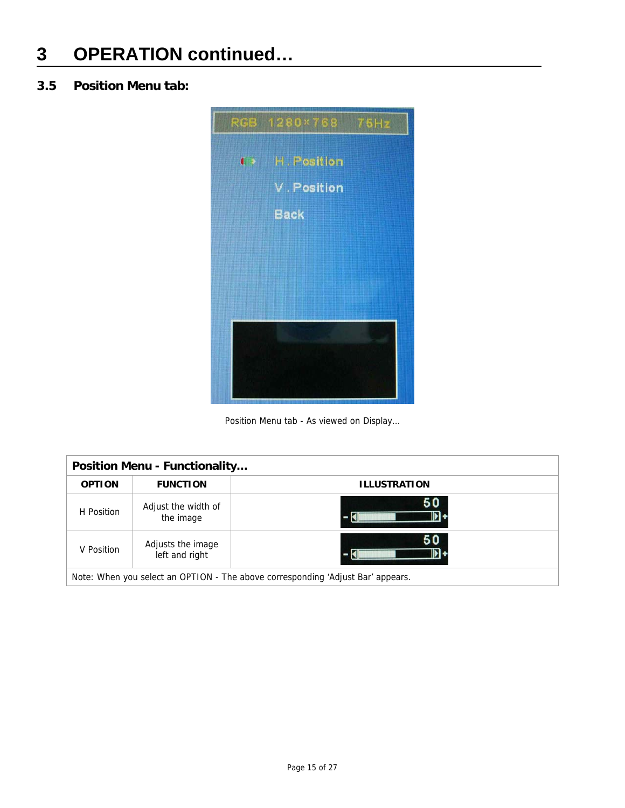### **3.5 Position Menu tab:**



Position Menu tab - As viewed on Display…

| <b>Position Menu - Functionality</b>                                            |                                  |                     |  |  |
|---------------------------------------------------------------------------------|----------------------------------|---------------------|--|--|
| <b>OPTION</b>                                                                   | <b>FUNCTION</b>                  | <b>ILLUSTRATION</b> |  |  |
| H Position                                                                      | Adjust the width of<br>the image | 50                  |  |  |
| 50<br>Adjusts the image<br>V Position<br>left and right                         |                                  |                     |  |  |
| Note: When you select an OPTION - The above corresponding 'Adjust Bar' appears. |                                  |                     |  |  |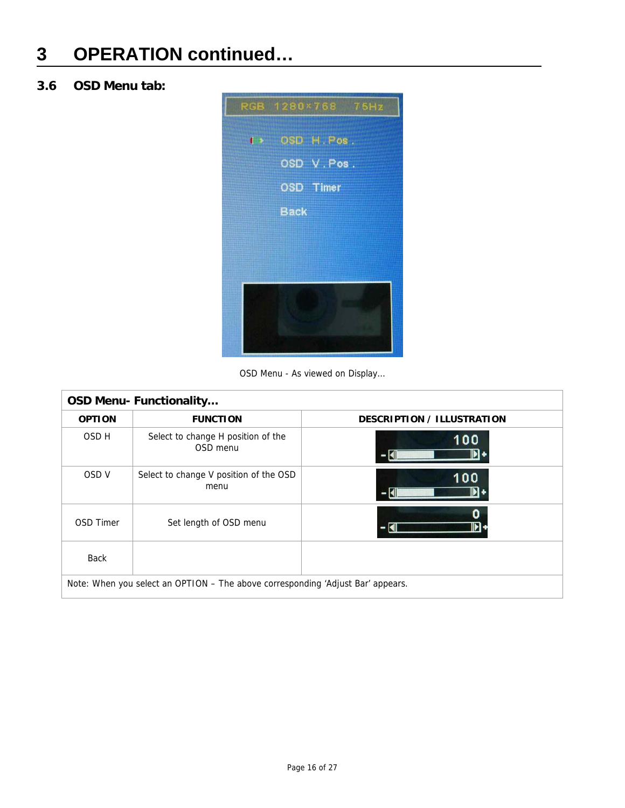### **3.6 OSD Menu tab:**



OSD Menu - As viewed on Display…

| <b>OSD Menu- Functionality</b>                                                  |                                                |                                   |  |
|---------------------------------------------------------------------------------|------------------------------------------------|-----------------------------------|--|
| <b>OPTION</b>                                                                   | <b>FUNCTION</b>                                | <b>DESCRIPTION / ILLUSTRATION</b> |  |
| OSD H                                                                           | Select to change H position of the<br>OSD menu | 100                               |  |
| OSD V                                                                           | Select to change V position of the OSD<br>menu | 100<br>- 1                        |  |
| <b>OSD Timer</b>                                                                | Set length of OSD menu                         | 0<br>H                            |  |
| Back                                                                            |                                                |                                   |  |
| Note: When you select an OPTION – The above corresponding 'Adjust Bar' appears. |                                                |                                   |  |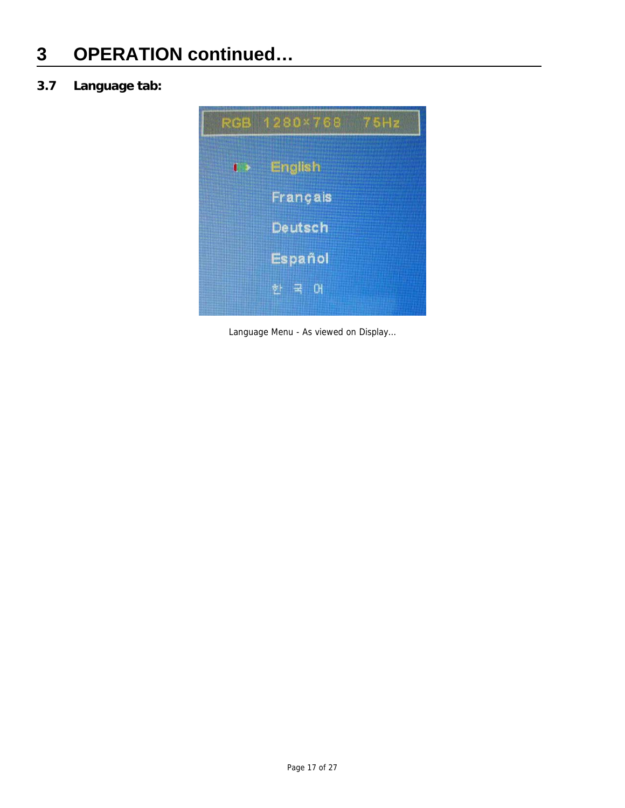### **3.7 Language tab:**



Language Menu - As viewed on Display…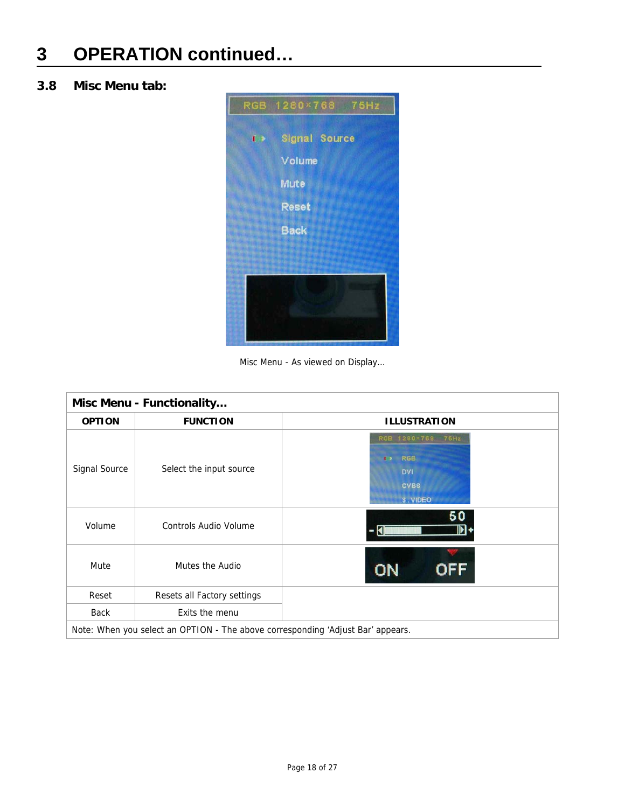### **3.8 Misc Menu tab:**



Misc Menu - As viewed on Display…

| Misc Menu - Functionality |                                                                                 |                                                                                            |  |  |
|---------------------------|---------------------------------------------------------------------------------|--------------------------------------------------------------------------------------------|--|--|
| <b>OPTION</b>             | <b>FUNCTION</b>                                                                 | <b>ILLUSTRATION</b>                                                                        |  |  |
| Signal Source             | Select the input source                                                         | RGB 1280×768 75Hz<br><b>RGB</b><br>$\blacksquare$<br><b>DVI</b><br><b>CVBS</b><br>S. VIDEO |  |  |
| Volume                    | <b>Controls Audio Volume</b>                                                    | - 141                                                                                      |  |  |
| Mute                      | Mutes the Audio                                                                 | OFF<br>ON                                                                                  |  |  |
| Reset                     | Resets all Factory settings                                                     |                                                                                            |  |  |
| Back                      | Exits the menu                                                                  |                                                                                            |  |  |
|                           | Note: When you select an OPTION - The above corresponding 'Adjust Bar' appears. |                                                                                            |  |  |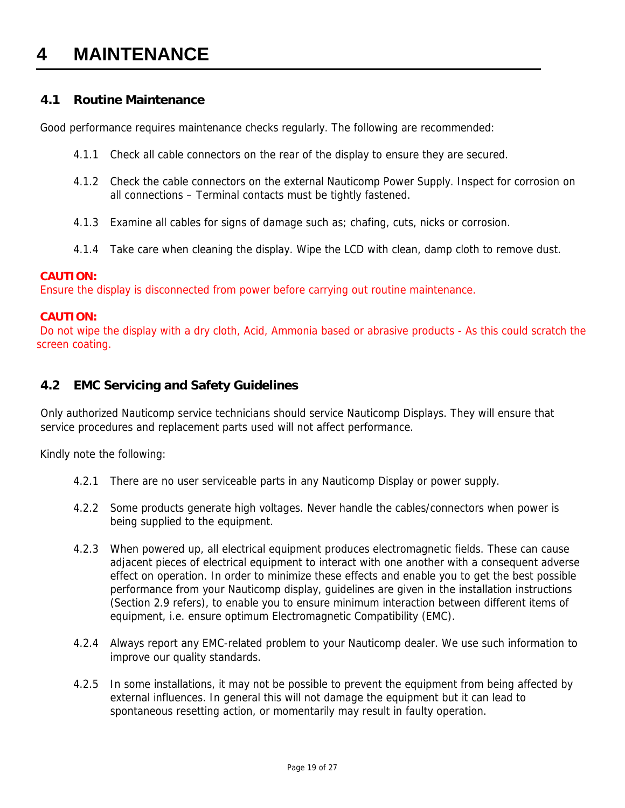### **4 MAINTENANCE**

### **4.1 Routine Maintenance**

Good performance requires maintenance checks regularly. The following are recommended:

- 4.1.1 Check all cable connectors on the rear of the display to ensure they are secured.
- 4.1.2 Check the cable connectors on the external Nauticomp Power Supply. Inspect for corrosion on all connections – Terminal contacts must be tightly fastened.
- 4.1.3 Examine all cables for signs of damage such as; chafing, cuts, nicks or corrosion.
- 4.1.4 Take care when cleaning the display. Wipe the LCD with clean, damp cloth to remove dust.

#### **CAUTION:**

Ensure the display is disconnected from power before carrying out routine maintenance.

#### **CAUTION:**

 Do not wipe the display with a dry cloth, Acid, Ammonia based or abrasive products - As this could scratch the screen coating.

### **4.2 EMC Servicing and Safety Guidelines**

Only authorized Nauticomp service technicians should service Nauticomp Displays. They will ensure that service procedures and replacement parts used will not affect performance.

Kindly note the following:

- 4.2.1 There are no user serviceable parts in any Nauticomp Display or power supply.
- 4.2.2 Some products generate high voltages. Never handle the cables/connectors when power is being supplied to the equipment.
- 4.2.3 When powered up, all electrical equipment produces electromagnetic fields. These can cause adjacent pieces of electrical equipment to interact with one another with a consequent adverse effect on operation. In order to minimize these effects and enable you to get the best possible performance from your Nauticomp display, guidelines are given in the installation instructions (Section 2.9 refers), to enable you to ensure minimum interaction between different items of equipment, i.e. ensure optimum Electromagnetic Compatibility (EMC).
- 4.2.4 Always report any EMC-related problem to your Nauticomp dealer. We use such information to improve our quality standards.
- 4.2.5 In some installations, it may not be possible to prevent the equipment from being affected by external influences. In general this will not damage the equipment but it can lead to spontaneous resetting action, or momentarily may result in faulty operation.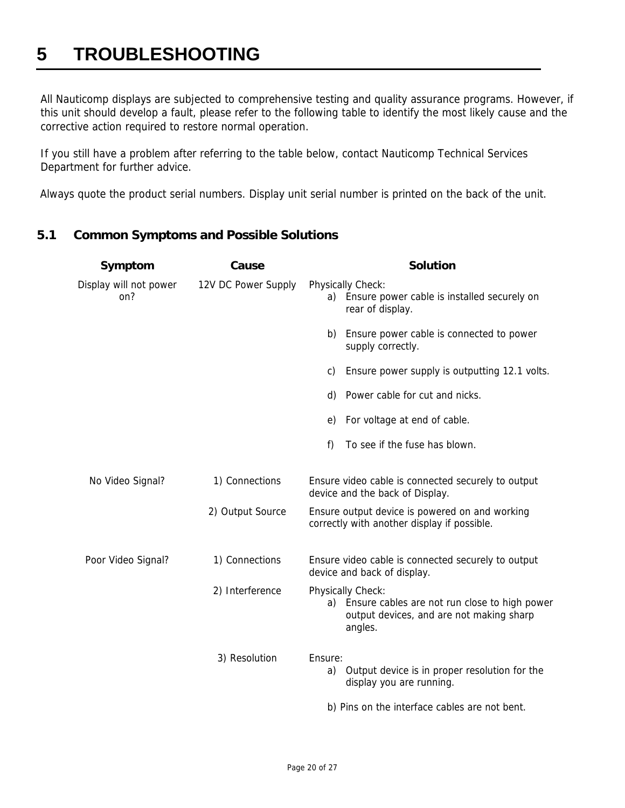### **5 TROUBLESHOOTING**

All Nauticomp displays are subjected to comprehensive testing and quality assurance programs. However, if this unit should develop a fault, please refer to the following table to identify the most likely cause and the corrective action required to restore normal operation.

If you still have a problem after referring to the table below, contact Nauticomp Technical Services Department for further advice.

Always quote the product serial numbers. Display unit serial number is printed on the back of the unit.

### **5.1 Common Symptoms and Possible Solutions**

| Symptom                       | Cause               | <b>Solution</b>                                                                                                                 |
|-------------------------------|---------------------|---------------------------------------------------------------------------------------------------------------------------------|
| Display will not power<br>on? | 12V DC Power Supply | Physically Check:<br>a) Ensure power cable is installed securely on<br>rear of display.                                         |
|                               |                     | Ensure power cable is connected to power<br>b)<br>supply correctly.                                                             |
|                               |                     | Ensure power supply is outputting 12.1 volts.<br>C)                                                                             |
|                               |                     | d) Power cable for cut and nicks.                                                                                               |
|                               |                     | For voltage at end of cable.<br>e)                                                                                              |
|                               |                     | To see if the fuse has blown.<br>f)                                                                                             |
| No Video Signal?              | 1) Connections      | Ensure video cable is connected securely to output<br>device and the back of Display.                                           |
|                               | 2) Output Source    | Ensure output device is powered on and working<br>correctly with another display if possible.                                   |
| Poor Video Signal?            | 1) Connections      | Ensure video cable is connected securely to output<br>device and back of display.                                               |
|                               | 2) Interference     | Physically Check:<br>Ensure cables are not run close to high power<br>a)<br>output devices, and are not making sharp<br>angles. |
|                               | 3) Resolution       | Ensure:<br>Output device is in proper resolution for the<br>a)<br>display you are running.                                      |
|                               |                     | b) Pins on the interface cables are not bent.                                                                                   |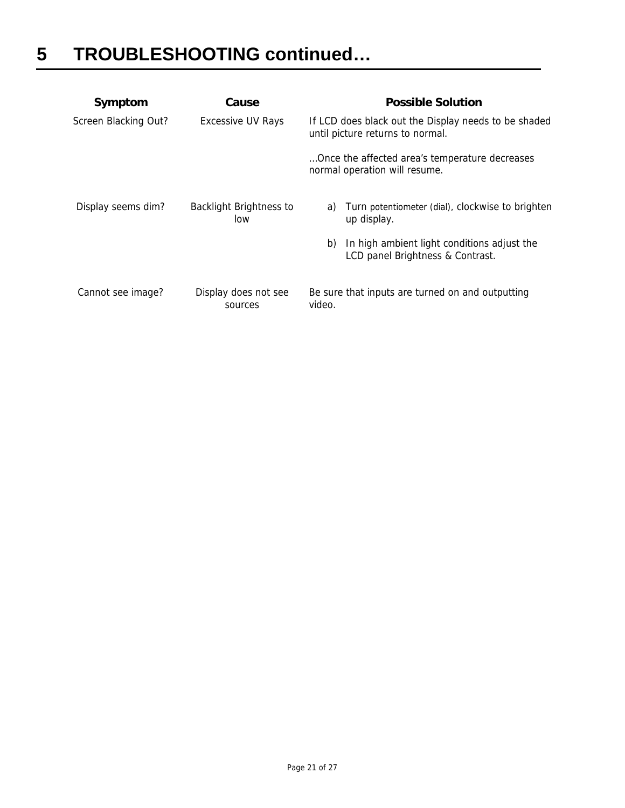| Symptom              | Cause                           | <b>Possible Solution</b>                                                                 |  |
|----------------------|---------------------------------|------------------------------------------------------------------------------------------|--|
| Screen Blacking Out? | <b>Excessive UV Rays</b>        | If LCD does black out the Display needs to be shaded<br>until picture returns to normal. |  |
|                      |                                 | Once the affected area's temperature decreases<br>normal operation will resume.          |  |
| Display seems dim?   | Backlight Brightness to<br>low  | Turn potentiometer (dial), clockwise to brighten<br>a)<br>up display.                    |  |
|                      |                                 | In high ambient light conditions adjust the<br>b)<br>LCD panel Brightness & Contrast.    |  |
| Cannot see image?    | Display does not see<br>sources | Be sure that inputs are turned on and outputting<br>video.                               |  |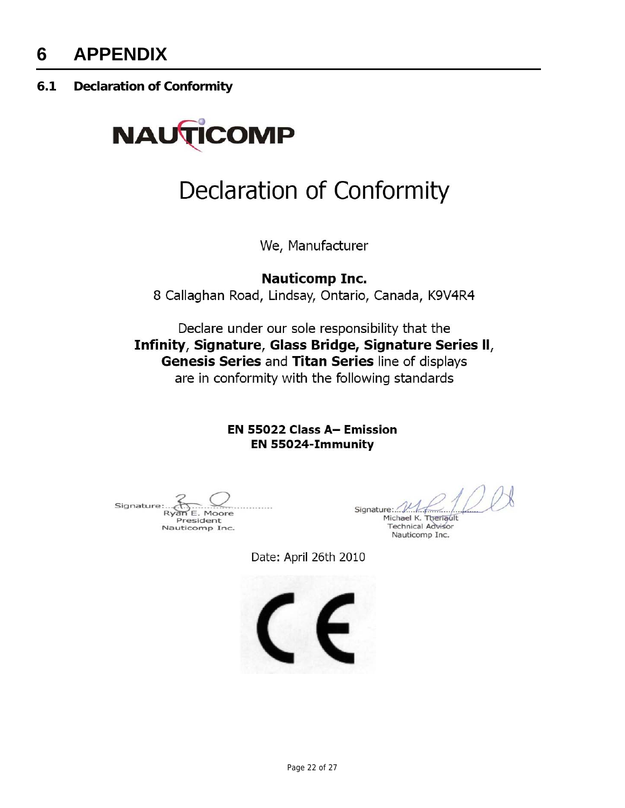**6.1 Declaration of Conformity** 



## Declaration of Conformity

We, Manufacturer

**Nauticomp Inc.** 8 Callaghan Road, Lindsay, Ontario, Canada, K9V4R4

Declare under our sole responsibility that the Infinity, Signature, Glass Bridge, Signature Series II, Genesis Series and Titan Series line of displays are in conformity with the following standards

> **EN 55022 Class A- Emission** EN 55024-Immunity

Signature Ryan E. Moore President Nauticomp Inc.

Signature:  $\mathcal{W}$ Michael K. Theriault

**Technical Advisor** Nauticomp Inc.

Date: April 26th 2010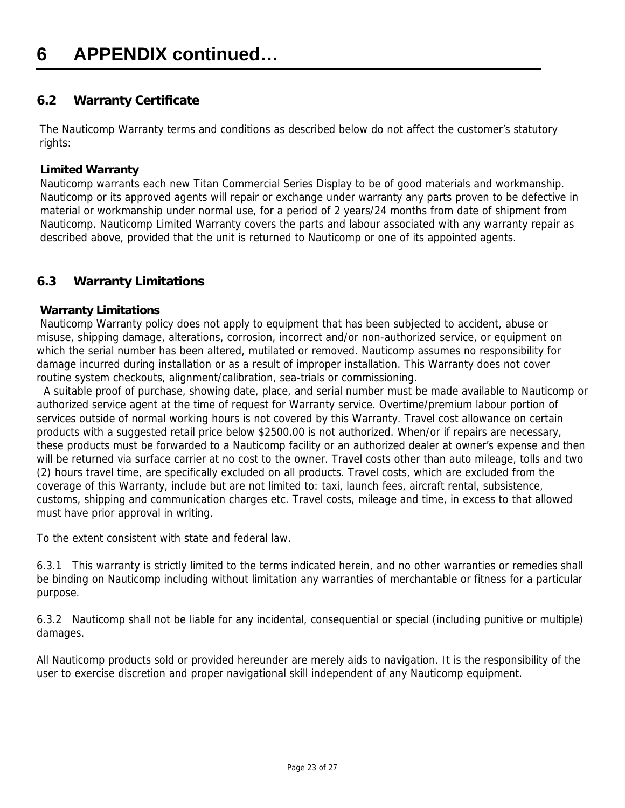### **6.2 Warranty Certificate**

The Nauticomp Warranty terms and conditions as described below do not affect the customer's statutory rights:

#### **Limited Warranty**

 Nauticomp warrants each new Titan Commercial Series Display to be of good materials and workmanship. Nauticomp or its approved agents will repair or exchange under warranty any parts proven to be defective in material or workmanship under normal use, for a period of 2 years/24 months from date of shipment from Nauticomp. Nauticomp Limited Warranty covers the parts and labour associated with any warranty repair as described above, provided that the unit is returned to Nauticomp or one of its appointed agents.

### **6.3 Warranty Limitations**

### **Warranty Limitations**

 Nauticomp Warranty policy does not apply to equipment that has been subjected to accident, abuse or misuse, shipping damage, alterations, corrosion, incorrect and/or non-authorized service, or equipment on which the serial number has been altered, mutilated or removed. Nauticomp assumes no responsibility for damage incurred during installation or as a result of improper installation. This Warranty does not cover routine system checkouts, alignment/calibration, sea-trials or commissioning.

 A suitable proof of purchase, showing date, place, and serial number must be made available to Nauticomp or authorized service agent at the time of request for Warranty service. Overtime/premium labour portion of services outside of normal working hours is not covered by this Warranty. Travel cost allowance on certain products with a suggested retail price below \$2500.00 is not authorized. When/or if repairs are necessary, these products must be forwarded to a Nauticomp facility or an authorized dealer at owner's expense and then will be returned via surface carrier at no cost to the owner. Travel costs other than auto mileage, tolls and two (2) hours travel time, are specifically excluded on all products. Travel costs, which are excluded from the coverage of this Warranty, include but are not limited to: taxi, launch fees, aircraft rental, subsistence, customs, shipping and communication charges etc. Travel costs, mileage and time, in excess to that allowed must have prior approval in writing.

To the extent consistent with state and federal law.

6.3.1 This warranty is strictly limited to the terms indicated herein, and no other warranties or remedies shall be binding on Nauticomp including without limitation any warranties of merchantable or fitness for a particular purpose.

6.3.2 Nauticomp shall not be liable for any incidental, consequential or special (including punitive or multiple) damages.

All Nauticomp products sold or provided hereunder are merely aids to navigation. It is the responsibility of the user to exercise discretion and proper navigational skill independent of any Nauticomp equipment.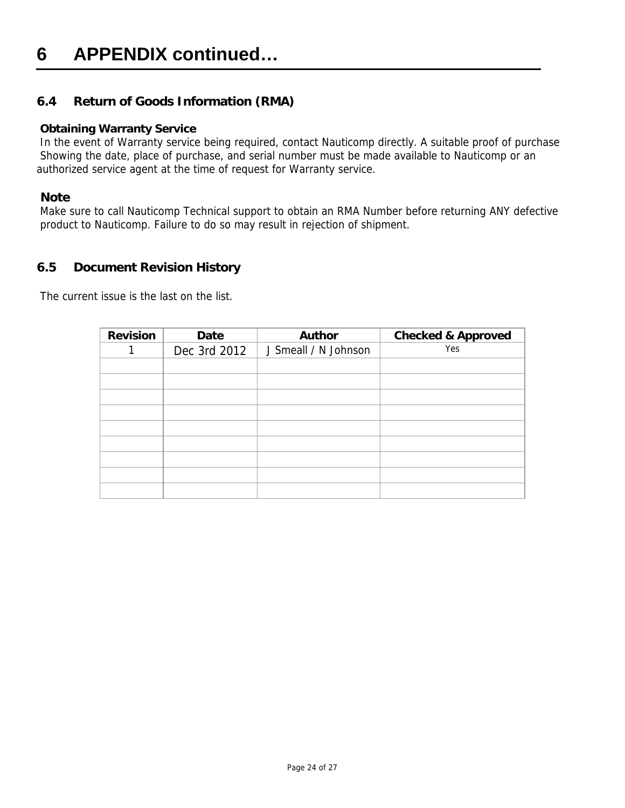### **6 APPENDIX continued…**

### **6.4 Return of Goods Information (RMA)**

#### **Obtaining Warranty Service**

 In the event of Warranty service being required, contact Nauticomp directly. A suitable proof of purchase Showing the date, place of purchase, and serial number must be made available to Nauticomp or an authorized service agent at the time of request for Warranty service.

#### **Note**

 Make sure to call Nauticomp Technical support to obtain an RMA Number before returning ANY defective product to Nauticomp. Failure to do so may result in rejection of shipment.

### **6.5 Document Revision History**

The current issue is the last on the list.

| <b>Revision</b> | Date         | <b>Author</b>        | <b>Checked &amp; Approved</b> |
|-----------------|--------------|----------------------|-------------------------------|
|                 | Dec 3rd 2012 | J Smeall / N Johnson | Yes                           |
|                 |              |                      |                               |
|                 |              |                      |                               |
|                 |              |                      |                               |
|                 |              |                      |                               |
|                 |              |                      |                               |
|                 |              |                      |                               |
|                 |              |                      |                               |
|                 |              |                      |                               |
|                 |              |                      |                               |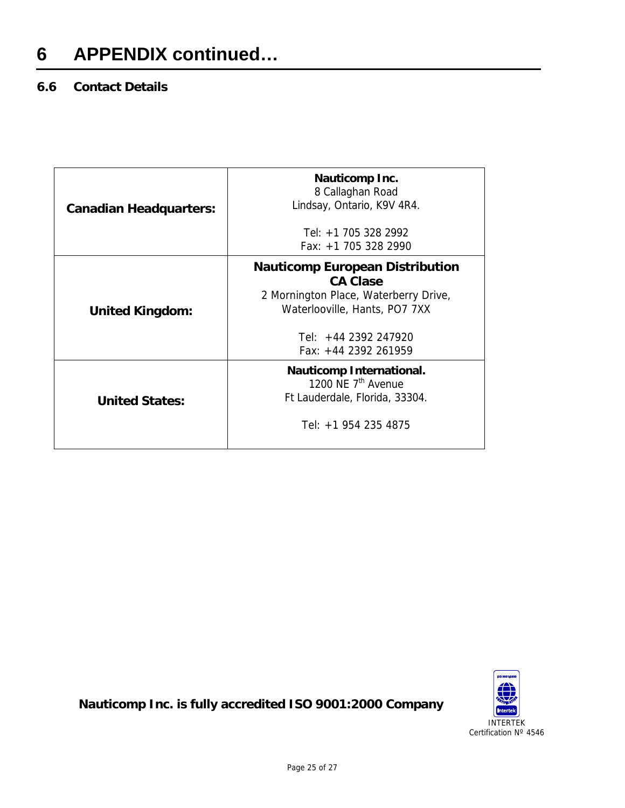### **6 APPENDIX continued…**

### **6.6 Contact Details**

| <b>Canadian Headquarters:</b> | Nauticomp Inc.<br>8 Callaghan Road<br>Lindsay, Ontario, K9V 4R4.                                                                                                                        |
|-------------------------------|-----------------------------------------------------------------------------------------------------------------------------------------------------------------------------------------|
|                               | Tel: +1 705 328 2992                                                                                                                                                                    |
|                               | Fax: +1 705 328 2990                                                                                                                                                                    |
| <b>United Kingdom:</b>        | <b>Nauticomp European Distribution</b><br><b>CA Clase</b><br>2 Mornington Place, Waterberry Drive,<br>Waterlooville, Hants, PO7 7XX<br>Tel: $+44$ 2392 247920<br>$Fax: +44$ 2392 261959 |
| <b>United States:</b>         | <b>Nauticomp International.</b><br>1200 NE 7 <sup>th</sup> Avenue<br>Ft Lauderdale, Florida, 33304.<br>Tel: +1 954 235 4875                                                             |



**Nauticomp Inc. is fully accredited ISO 9001:2000 Company**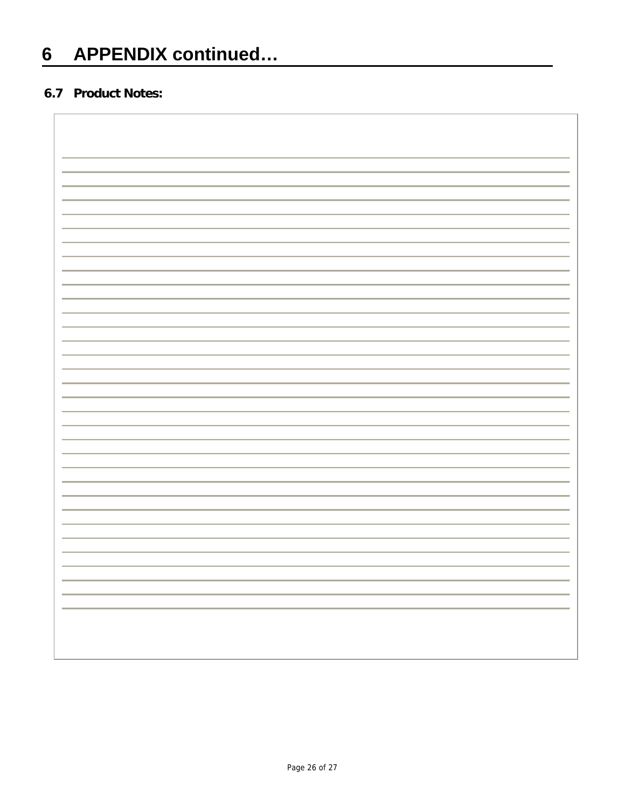### **6.7 Product Notes:**